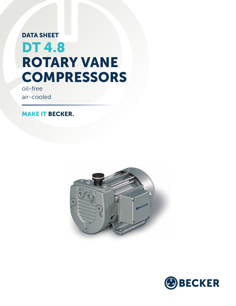# DATA SHEET DT 4.8 ROTARY VANE **COMPRESSORS**

oil-free air-cooled

MAKE IT BECKER.



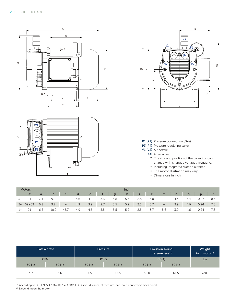





- P1 (P2) Pressure connection (G3/8)
- P3 (P4) Pressure regulating valve
- V1 (V2) Air nozzle
	- (XX) Alternative
		- **\*** The size and position of the capacitor can change with changed voltage / frequency.
		- Including integrated suction air filter
		- **•** The motor illustration may vary
		- **▪** Dimensions in inch

| <b>Motors</b> |                               | inch         |              |                          |     |     |          |     |     |       |       |                          |     |     |      |     |
|---------------|-------------------------------|--------------|--------------|--------------------------|-----|-----|----------|-----|-----|-------|-------|--------------------------|-----|-----|------|-----|
|               | $\overline{t}$ $\overline{t}$ | $\mathsf{a}$ | $\mathsf{b}$ | $\mathsf{C}$             |     |     | de f g / |     |     | h i k |       | m                        | n   |     |      |     |
| $3\sim$       | 01                            | 7.1          | 9.9          | $\overline{\phantom{a}}$ | 5.6 | 4.0 | 3.3      | 5.8 | 5.5 | 2.8   | 4.0   | $\qquad \qquad -$        | 4.4 | 5.4 | 0.27 |     |
|               | $3 \sim 02 + 03$              | 6.8          | 9.2          | $\qquad \qquad -$        | 4.9 | 3.9 | 2.7      | 5.5 | 5.2 | 2.5   | 3.7   | $\overline{\phantom{0}}$ | 3.9 | 4.6 | 0.24 | 7.8 |
| $1$ ~         | - 01                          | 6.8          | 10.0         | $\approx 3.7$            | 4.9 | 4.6 | 3.5      | 5.5 | 5.2 | 2.5   | - 3.7 | 5.6                      | 3.9 | 4.6 | 0.24 | 7.8 |

|            | Blast air rate          |      | Pressure    | <b>Emission sound</b><br>pressure level <sup>1)</sup> | Weight<br>incl. motor <sup>2)</sup> |                |
|------------|-------------------------|------|-------------|-------------------------------------------------------|-------------------------------------|----------------|
| <b>CFM</b> |                         |      | <b>PSIG</b> | dB(A)                                                 | lbs                                 |                |
| 50 Hz      | 50 Hz<br>60 Hz<br>60 Hz |      | 50 Hz       | 60 Hz                                                 |                                     |                |
| 4.7        | 5.6                     | 14.5 | 14.5        | 58.0                                                  | 61.5                                | $\approx$ 20.9 |

 $1)$  According to DIN EN ISO 3744 (KpA = 3 dB(A)), 39.4 inch distance, at medium load, both connection sides piped

<sup>2)</sup> Depending on the motor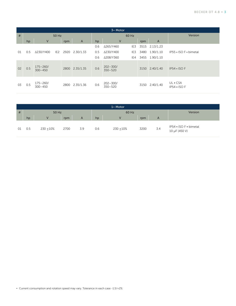| $3~M$ Motor |       |                             |                 |      |                |     |                             |       |         |                |                               |
|-------------|-------|-----------------------------|-----------------|------|----------------|-----|-----------------------------|-------|---------|----------------|-------------------------------|
| #           | 50 Hz |                             |                 |      |                |     |                             | 60 Hz | Version |                |                               |
|             | hp    | $\vee$                      |                 | rpm  | $\overline{A}$ | hp  | V                           |       | rpm     | $\overline{A}$ |                               |
|             |       |                             |                 |      |                | 0.6 | Δ265/Y460                   | IE3   |         | 3515 2.13/1.23 |                               |
| 01          | 0.5   | Δ230/Y400                   | IE <sub>2</sub> | 2920 | 2.30/1.33      | 0.5 | Δ230/Y400                   | IE3   | 3480    | 1.90/1.10      | IP55 • ISO F • bimetal        |
|             |       |                             |                 |      |                | 0.6 | ∆208/Y360                   | IE4   |         | 3455 1.90/1.10 |                               |
| 02          | 0.5   | $175 - 260/$<br>$300 - 450$ |                 | 2800 | 2.35/1.35      | 0.6 | $202 - 300/$<br>$350 - 520$ |       | 3150    | 2.40/1.40      | $IP54 \cdot ISOF$             |
| 03          | 0.5   | $175 - 260/$<br>$300 - 450$ |                 | 2800 | 2.35/1.36      | 0.6 | $202 - 300/$<br>$350 - 520$ |       |         | 3150 2.40/1.40 | UL • CSA<br>$IP54 \cdot ISOF$ |

| $1 -$ Motor |       |              |      |     |     |              |         |     |                                         |  |  |
|-------------|-------|--------------|------|-----|-----|--------------|---------|-----|-----------------------------------------|--|--|
| #           | 50 Hz |              |      |     |     | 60 Hz        | Version |     |                                         |  |  |
|             | hp    |              | rpm  | A   | hp  |              | rpm     | A   |                                         |  |  |
| 01          | 0.5   | $230 + 10\%$ | 2700 | 3.9 | 0.6 | $230 + 10\%$ | 3200    | 3.4 | IP54 • ISO F • bimetal<br>10 µF (450 V) |  |  |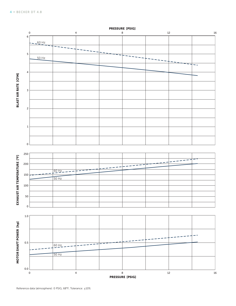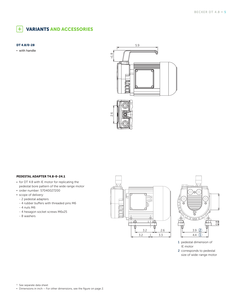#### VARIANTS AND ACCESSORIES  $+$

#### DT 4.8/0-28

**▪** with handle



### PEDESTAL ADAPTER T4.8-0-24.1

- **▪** for DT 4.8 with IE motor for replicating the pedestal bore pattern of the wide range motor
- **▪** order number: 57040027200
- **▪** scope of delivery: - 2 pedestal adapters
- 4 rubber buffers with threaded pins M6
- 4 nuts M6
- 4 hexagon socket screws M6x25
- 8 washers





- 1 pedestal dimension of IE motor
- 2 corresponds to pedestal size of wide-range motor

<sup>1)</sup> See separate data sheet

**▪** Dimensions in inch – For other dimensions, see the figure on page 2.